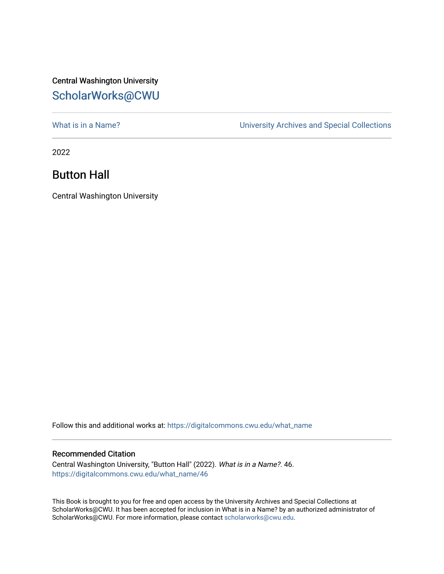## Central Washington University [ScholarWorks@CWU](https://digitalcommons.cwu.edu/)

[What is in a Name?](https://digitalcommons.cwu.edu/what_name) **What is in a Name?** University Archives and Special Collections

2022

## Button Hall

Central Washington University

Follow this and additional works at: [https://digitalcommons.cwu.edu/what\\_name](https://digitalcommons.cwu.edu/what_name?utm_source=digitalcommons.cwu.edu%2Fwhat_name%2F46&utm_medium=PDF&utm_campaign=PDFCoverPages) 

## Recommended Citation

Central Washington University, "Button Hall" (2022). What is in a Name?. 46. [https://digitalcommons.cwu.edu/what\\_name/46](https://digitalcommons.cwu.edu/what_name/46?utm_source=digitalcommons.cwu.edu%2Fwhat_name%2F46&utm_medium=PDF&utm_campaign=PDFCoverPages) 

This Book is brought to you for free and open access by the University Archives and Special Collections at ScholarWorks@CWU. It has been accepted for inclusion in What is in a Name? by an authorized administrator of ScholarWorks@CWU. For more information, please contact [scholarworks@cwu.edu](mailto:scholarworks@cwu.edu).